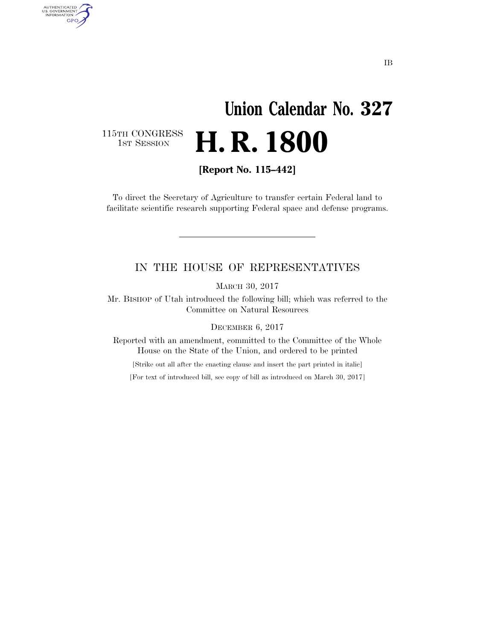# **Union Calendar No. 327**  1ST SESSION **H. R. 1800**

115TH CONGRESS<br>1st Session

AUTHENTICATED<br>U.S. GOVERNMENT<br>INFORMATION GPO

**[Report No. 115–442]** 

To direct the Secretary of Agriculture to transfer certain Federal land to facilitate scientific research supporting Federal space and defense programs.

### IN THE HOUSE OF REPRESENTATIVES

MARCH 30, 2017

Mr. BISHOP of Utah introduced the following bill; which was referred to the Committee on Natural Resources

DECEMBER 6, 2017

Reported with an amendment, committed to the Committee of the Whole House on the State of the Union, and ordered to be printed

[Strike out all after the enacting clause and insert the part printed in italic]

[For text of introduced bill, see copy of bill as introduced on March 30, 2017]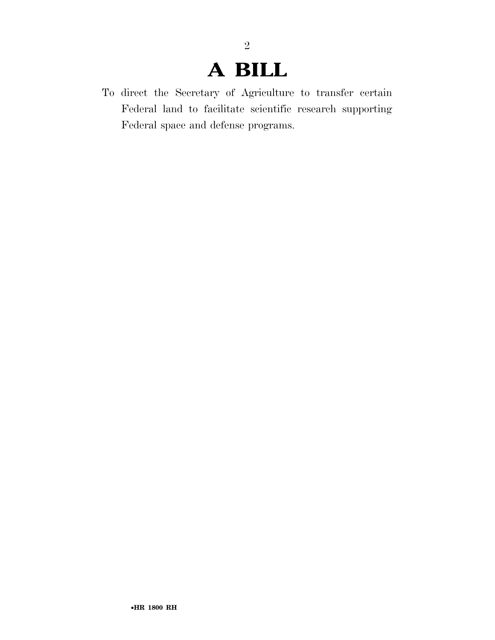### **A BILL**

2

To direct the Secretary of Agriculture to transfer certain Federal land to facilitate scientific research supporting Federal space and defense programs.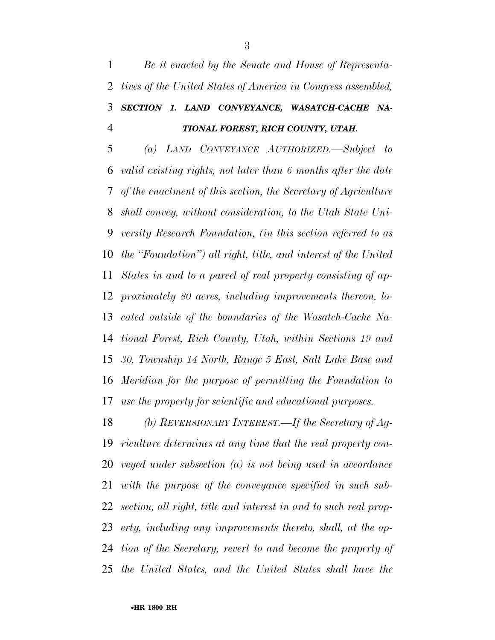*Be it enacted by the Senate and House of Representa- tives of the United States of America in Congress assembled, SECTION 1. LAND CONVEYANCE, WASATCH-CACHE NA-TIONAL FOREST, RICH COUNTY, UTAH.* 

 *(a) LAND CONVEYANCE AUTHORIZED.—Subject to valid existing rights, not later than 6 months after the date of the enactment of this section, the Secretary of Agriculture shall convey, without consideration, to the Utah State Uni- versity Research Foundation, (in this section referred to as the ''Foundation'') all right, title, and interest of the United States in and to a parcel of real property consisting of ap- proximately 80 acres, including improvements thereon, lo- cated outside of the boundaries of the Wasatch-Cache Na- tional Forest, Rich County, Utah, within Sections 19 and 30, Township 14 North, Range 5 East, Salt Lake Base and Meridian for the purpose of permitting the Foundation to use the property for scientific and educational purposes.* 

 *(b) REVERSIONARY INTEREST.—If the Secretary of Ag- riculture determines at any time that the real property con- veyed under subsection (a) is not being used in accordance with the purpose of the conveyance specified in such sub- section, all right, title and interest in and to such real prop- erty, including any improvements thereto, shall, at the op- tion of the Secretary, revert to and become the property of the United States, and the United States shall have the*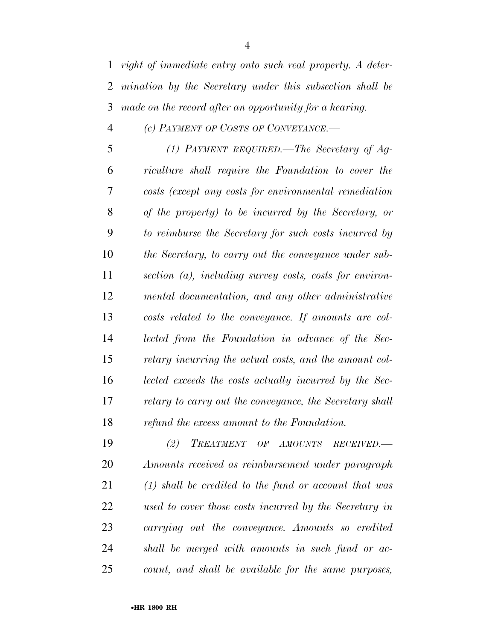#### *(c) PAYMENT OF COSTS OF CONVEYANCE.—*

 *(1) PAYMENT REQUIRED.—The Secretary of Ag- riculture shall require the Foundation to cover the costs (except any costs for environmental remediation of the property) to be incurred by the Secretary, or to reimburse the Secretary for such costs incurred by the Secretary, to carry out the conveyance under sub- section (a), including survey costs, costs for environ- mental documentation, and any other administrative costs related to the conveyance. If amounts are col- lected from the Foundation in advance of the Sec- retary incurring the actual costs, and the amount col- lected exceeds the costs actually incurred by the Sec- retary to carry out the conveyance, the Secretary shall refund the excess amount to the Foundation.* 

 *(2) TREATMENT OF AMOUNTS RECEIVED.— Amounts received as reimbursement under paragraph (1) shall be credited to the fund or account that was used to cover those costs incurred by the Secretary in carrying out the conveyance. Amounts so credited shall be merged with amounts in such fund or ac-count, and shall be available for the same purposes,*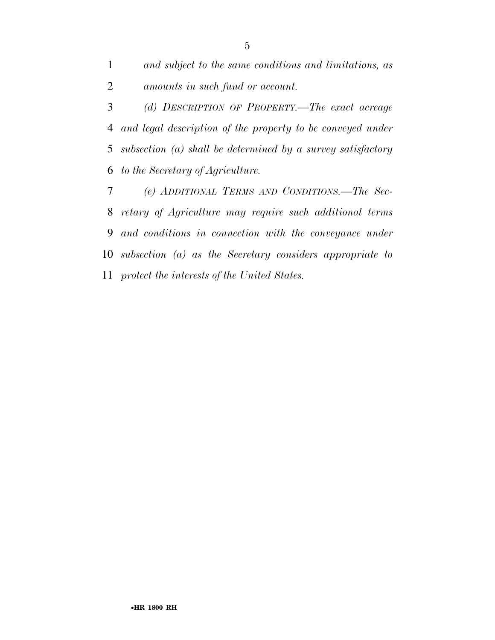*and subject to the same conditions and limitations, as amounts in such fund or account.* 

 *(d) DESCRIPTION OF PROPERTY.—The exact acreage and legal description of the property to be conveyed under subsection (a) shall be determined by a survey satisfactory to the Secretary of Agriculture.* 

 *(e) ADDITIONAL TERMS AND CONDITIONS.—The Sec- retary of Agriculture may require such additional terms and conditions in connection with the conveyance under subsection (a) as the Secretary considers appropriate to protect the interests of the United States.*